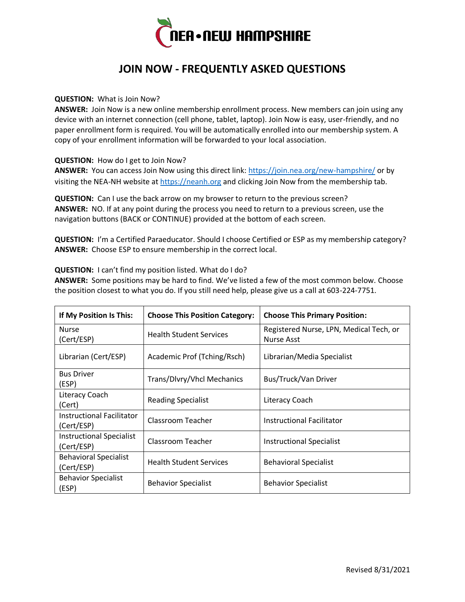

## **JOIN NOW - FREQUENTLY ASKED QUESTIONS**

## **QUESTION:** What is Join Now?

**ANSWER:** Join Now is a new online membership enrollment process. New members can join using any device with an internet connection (cell phone, tablet, laptop). Join Now is easy, user-friendly, and no paper enrollment form is required. You will be automatically enrolled into our membership system. A copy of your enrollment information will be forwarded to your local association.

**QUESTION:** How do I get to Join Now?

ANSWER: You can access Join Now using this direct link:<https://join.nea.org/new-hampshire/> or by visiting the NEA-NH website at [https://neanh.org](https://neanh.org/) and clicking Join Now from the membership tab.

**QUESTION:** Can I use the back arrow on my browser to return to the previous screen? **ANSWER:** NO. If at any point during the process you need to return to a previous screen, use the navigation buttons (BACK or CONTINUE) provided at the bottom of each screen.

**QUESTION:** I'm a Certified Paraeducator. Should I choose Certified or ESP as my membership category? **ANSWER:** Choose ESP to ensure membership in the correct local.

**QUESTION:** I can't find my position listed. What do I do?

**ANSWER:** Some positions may be hard to find. We've listed a few of the most common below. Choose the position closest to what you do. If you still need help, please give us a call at 603-224-7751.

| If My Position Is This:                       | <b>Choose This Position Category:</b> | <b>Choose This Primary Position:</b>                  |
|-----------------------------------------------|---------------------------------------|-------------------------------------------------------|
| <b>Nurse</b><br>(Cert/ESP)                    | <b>Health Student Services</b>        | Registered Nurse, LPN, Medical Tech, or<br>Nurse Asst |
| Librarian (Cert/ESP)                          | Academic Prof (Tching/Rsch)           | Librarian/Media Specialist                            |
| <b>Bus Driver</b><br>(ESP)                    | Trans/Dlvry/Vhcl Mechanics            | Bus/Truck/Van Driver                                  |
| Literacy Coach<br>(Cert)                      | <b>Reading Specialist</b>             | Literacy Coach                                        |
| Instructional Facilitator<br>(Cert/ESP)       | Classroom Teacher                     | Instructional Facilitator                             |
| <b>Instructional Specialist</b><br>(Cert/ESP) | Classroom Teacher                     | <b>Instructional Specialist</b>                       |
| <b>Behavioral Specialist</b><br>(Cert/ESP)    | <b>Health Student Services</b>        | <b>Behavioral Specialist</b>                          |
| <b>Behavior Specialist</b><br>(ESP)           | <b>Behavior Specialist</b>            | <b>Behavior Specialist</b>                            |